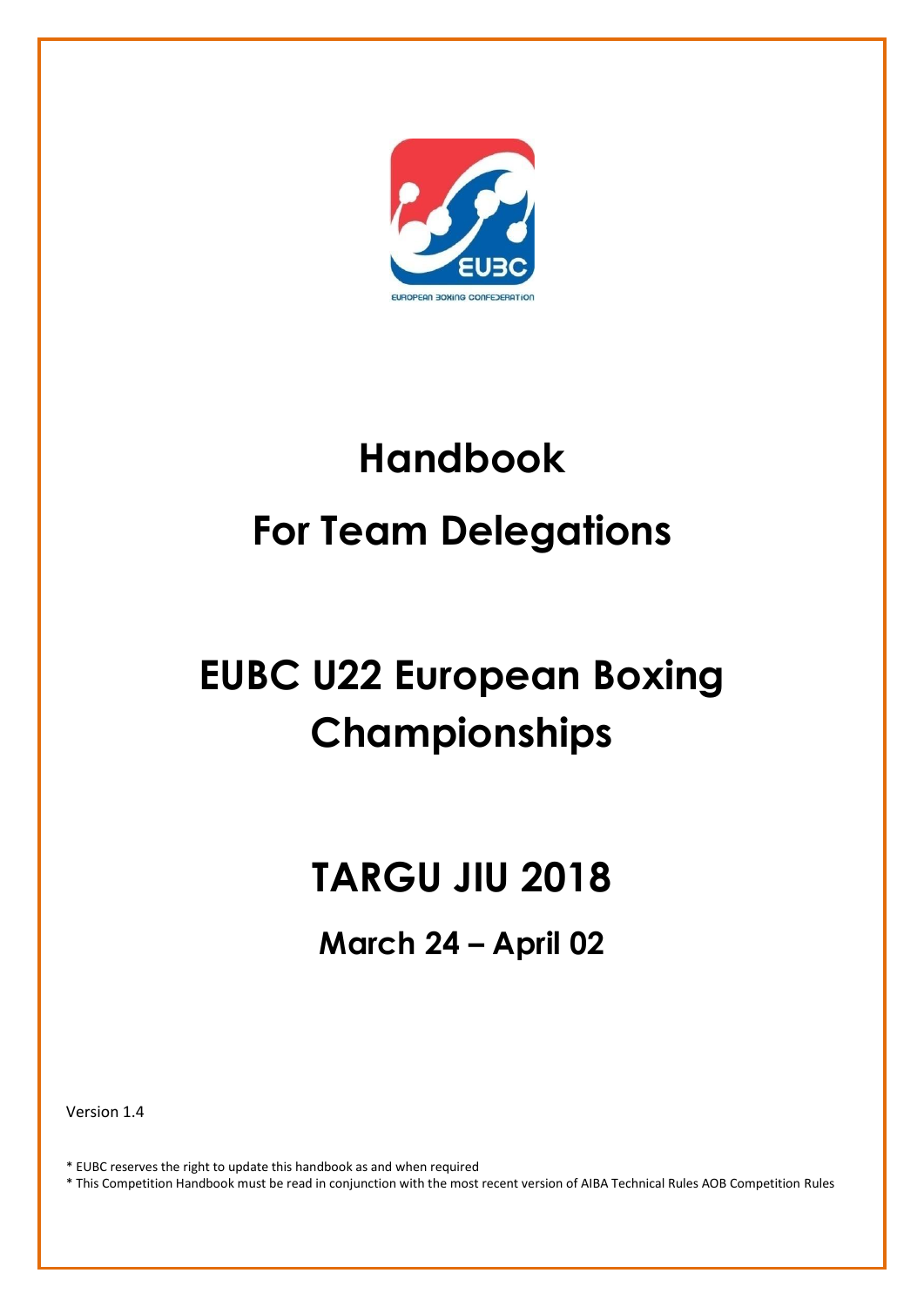

# **Handbook For Team Delegations**

## **EUBC U22 European Boxing Championships**

## **TARGU JIU 2018**

## **March 24 – April 02**

Version 1.4

\* EUBC reserves the right to update this handbook as and when required

\* This Competition Handbook must be read in conjunction with the most recent version of AIBA Technical Rules AOB Competition Rules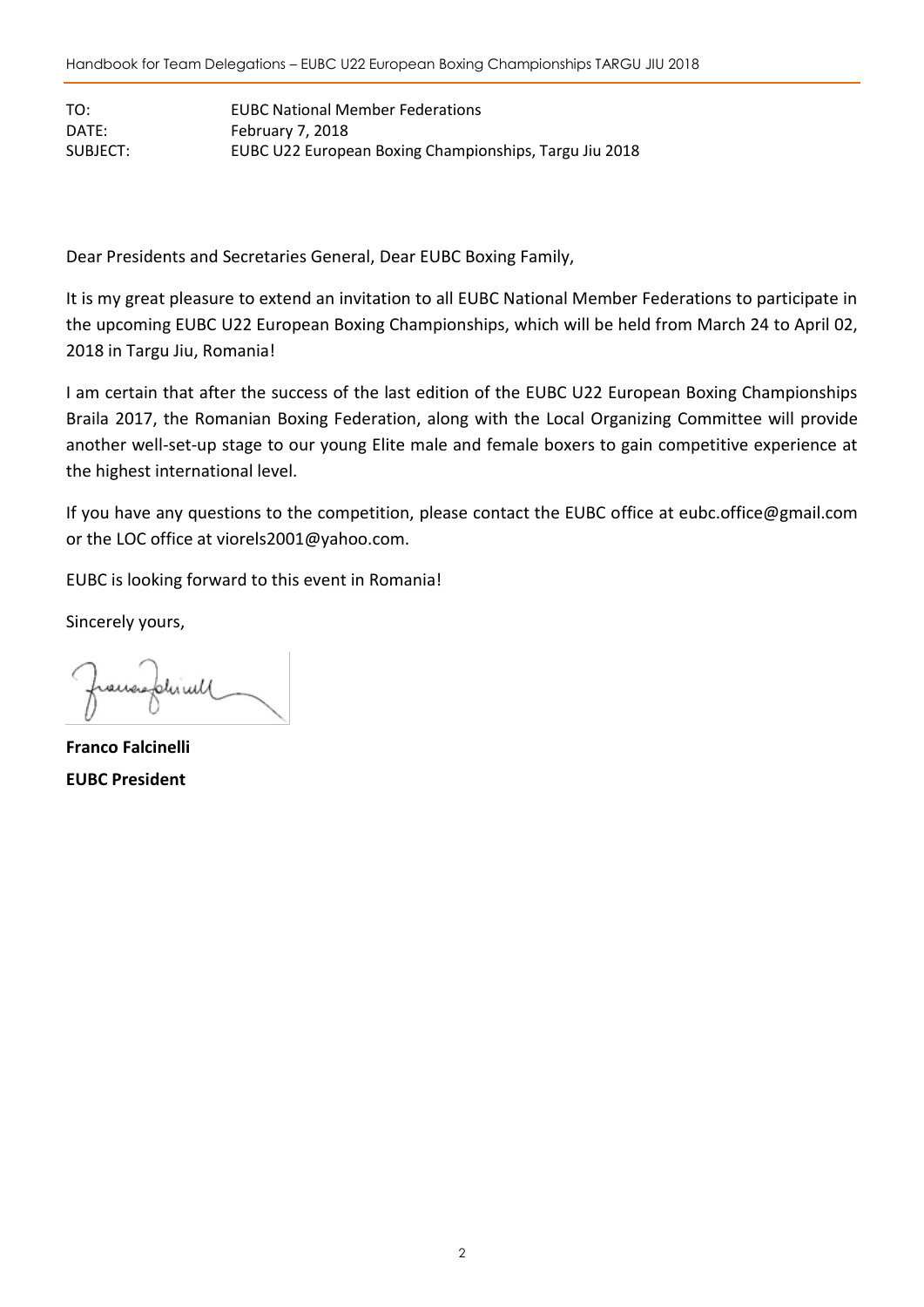TO: EUBC National Member Federations DATE: February 7, 2018 SUBJECT: EUBC U22 European Boxing Championships, Targu Jiu 2018

Dear Presidents and Secretaries General, Dear EUBC Boxing Family,

It is my great pleasure to extend an invitation to all EUBC National Member Federations to participate in the upcoming EUBC U22 European Boxing Championships, which will be held from March 24 to April 02, 2018 in Targu Jiu, Romania!

I am certain that after the success of the last edition of the EUBC U22 European Boxing Championships Braila 2017, the Romanian Boxing Federation, along with the Local Organizing Committee will provide another well-set-up stage to our young Elite male and female boxers to gain competitive experience at the highest international level.

If you have any questions to the competition, please contact the EUBC office at [eubc.office@gmail.com](mailto:eubc.office@gmail.com) or the LOC office at viorels2001@yahoo.com.

EUBC is looking forward to this event in Romania!

Sincerely yours,

francephicul

**Franco Falcinelli EUBC President**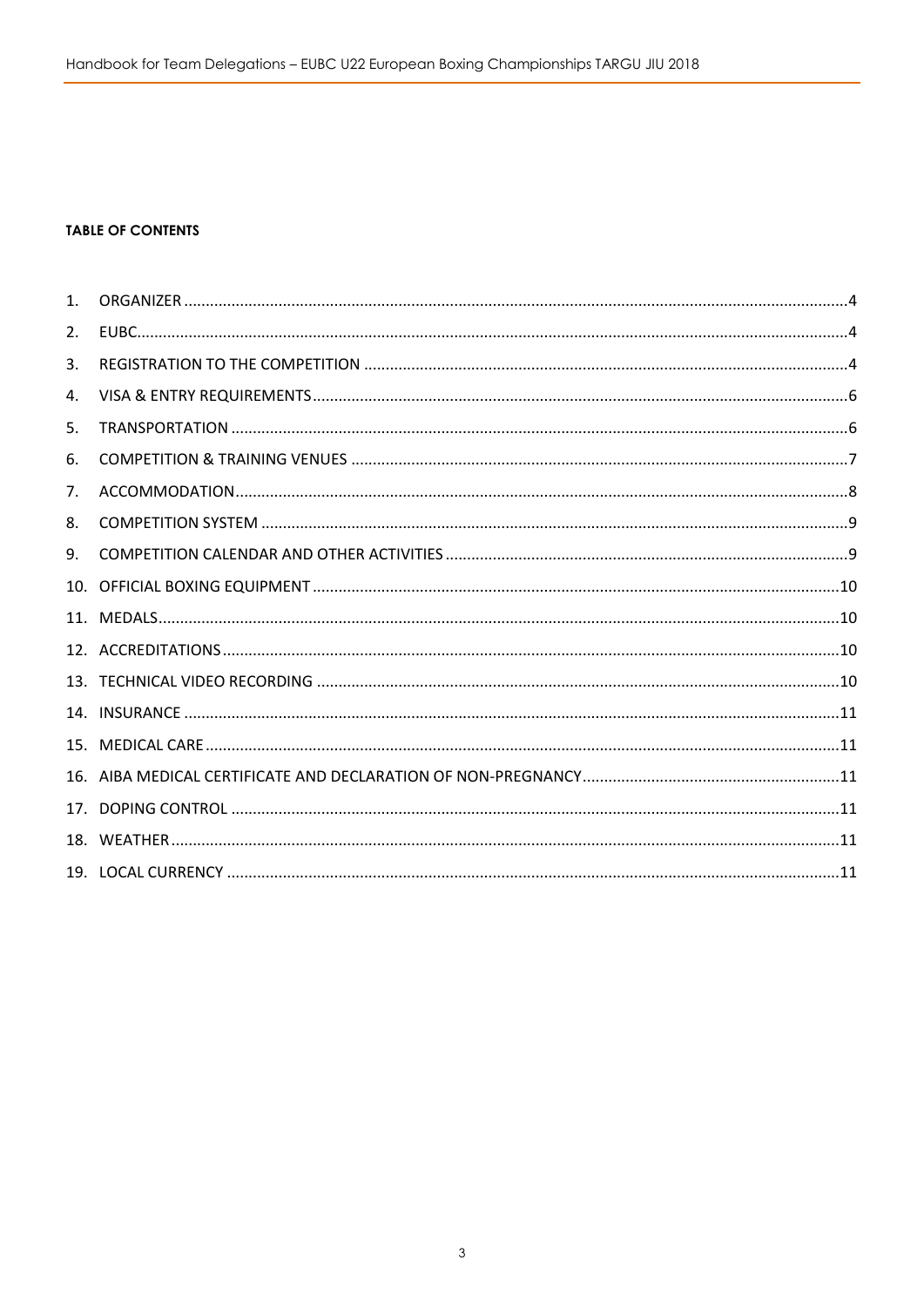#### **TABLE OF CONTENTS**

| 1 <sub>1</sub> |  |
|----------------|--|
| 2.             |  |
| 3.             |  |
| 4.             |  |
| 5.             |  |
| 6.             |  |
| 7.             |  |
| 8.             |  |
| 9.             |  |
|                |  |
|                |  |
|                |  |
|                |  |
|                |  |
|                |  |
|                |  |
|                |  |
|                |  |
|                |  |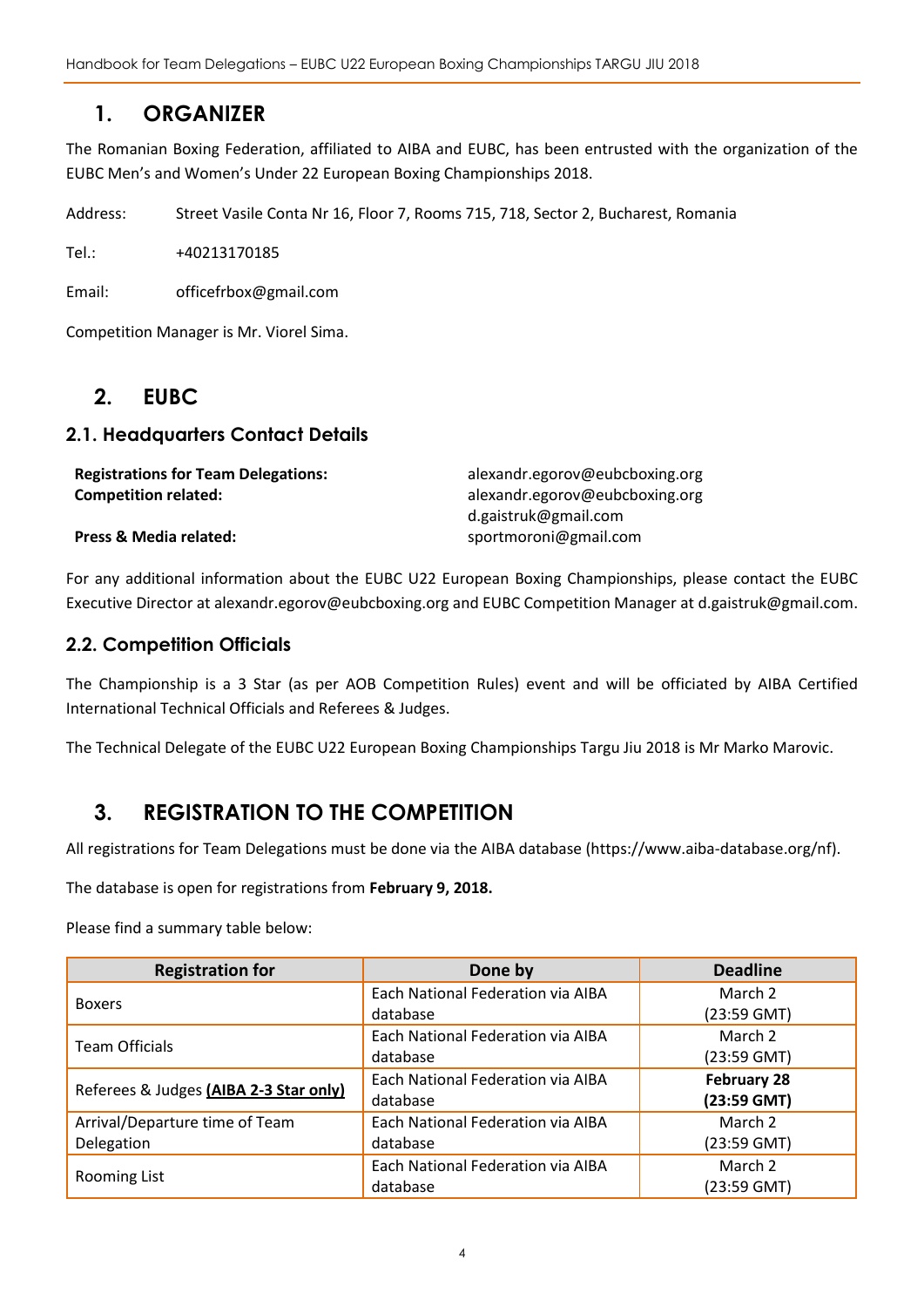Handbook for Team Delegations – EUBC U22 European Boxing Championships TARGU JIU 2018

## <span id="page-3-0"></span>**1. ORGANIZER**

The Romanian Boxing Federation, affiliated to AIBA and EUBC, has been entrusted with the organization of the EUBC Men's and Women's Under 22 European Boxing Championships 2018.

Address: Street Vasile Conta Nr 16, Floor 7, Rooms 715, 718, Sector 2, Bucharest, Romania

Tel.: +40213170185

Email: officefrbox@gmail.com

<span id="page-3-1"></span>Competition Manager is Mr. Viorel Sima.

## **2. EUBC**

#### **2.1. Headquarters Contact Details**

| <b>Registrations for Team Delegations:</b> | alexandr.egorov@eubcboxing.org |
|--------------------------------------------|--------------------------------|
| <b>Competition related:</b>                | alexandr.egorov@eubcboxing.org |
|                                            | d.gaistruk@gmail.com           |
| Press & Media related:                     | sportmoroni@gmail.com          |

For any additional information about the EUBC U22 European Boxing Championships, please contact the EUBC Executive Director at alexandr.egorov@eubcboxing.org and EUBC Competition Manager at d.gaistruk@gmail.com.

#### **2.2. Competition Officials**

The Championship is a 3 Star (as per AOB Competition Rules) event and will be officiated by AIBA Certified International Technical Officials and Referees & Judges.

The Technical Delegate of the EUBC U22 European Boxing Championships Targu Jiu 2018 is Mr Marko Marovic.

## <span id="page-3-2"></span>**3. REGISTRATION TO THE COMPETITION**

All registrations for Team Delegations must be done via the AIBA database (https://www.aiba-database.org/nf).

The database is open for registrations from **February 9, 2018.**

Please find a summary table below:

| <b>Registration for</b>                | Done by                           | <b>Deadline</b> |
|----------------------------------------|-----------------------------------|-----------------|
| <b>Boxers</b>                          | Each National Federation via AIBA | March 2         |
|                                        | database                          | $(23:59$ GMT)   |
| <b>Team Officials</b>                  | Each National Federation via AIBA | March 2         |
|                                        | database                          | $(23:59$ GMT)   |
|                                        | Each National Federation via AIBA | February 28     |
| Referees & Judges (AIBA 2-3 Star only) | database                          | (23:59 GMT)     |
| Arrival/Departure time of Team         | Each National Federation via AIBA | March 2         |
| Delegation                             | database                          | $(23:59$ GMT)   |
|                                        | Each National Federation via AIBA | March 2         |
| Rooming List                           | database                          | (23:59 GMT)     |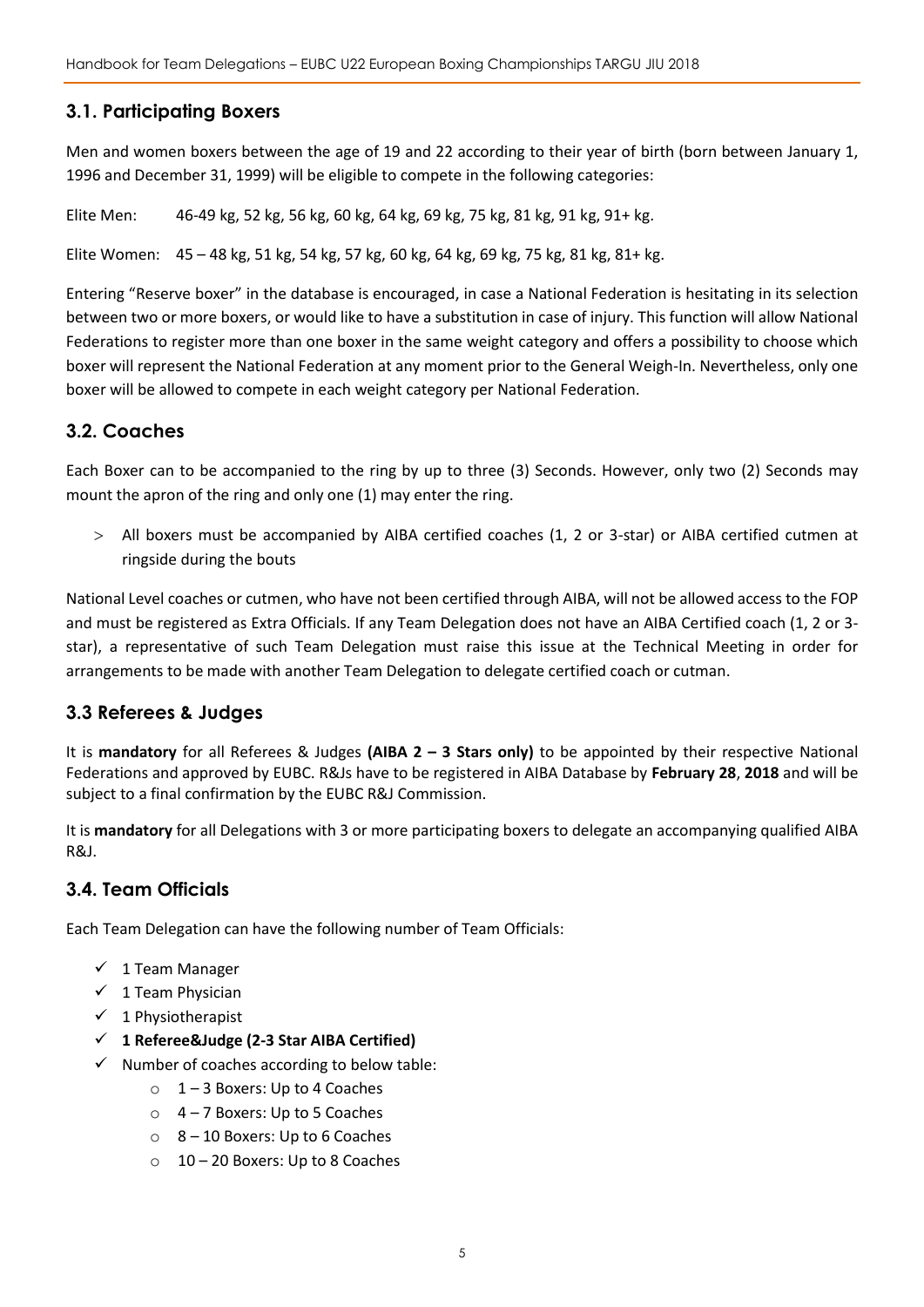#### **3.1. Participating Boxers**

Men and women boxers between the age of 19 and 22 according to their year of birth (born between January 1, 1996 and December 31, 1999) will be eligible to compete in the following categories:

Elite Men: 46-49 kg, 52 kg, 56 kg, 60 kg, 64 kg, 69 kg, 75 kg, 81 kg, 91 kg, 91+ kg.

Elite Women: 45 – 48 kg, 51 kg, 54 kg, 57 kg, 60 kg, 64 kg, 69 kg, 75 kg, 81 kg, 81+ kg.

Entering "Reserve boxer" in the database is encouraged, in case a National Federation is hesitating in its selection between two or more boxers, or would like to have a substitution in case of injury. This function will allow National Federations to register more than one boxer in the same weight category and offers a possibility to choose which boxer will represent the National Federation at any moment prior to the General Weigh-In. Nevertheless, only one boxer will be allowed to compete in each weight category per National Federation.

#### **3.2. Coaches**

Each Boxer can to be accompanied to the ring by up to three (3) Seconds. However, only two (2) Seconds may mount the apron of the ring and only one (1) may enter the ring.

 All boxers must be accompanied by AIBA certified coaches (1, 2 or 3-star) or AIBA certified cutmen at ringside during the bouts

National Level coaches or cutmen, who have not been certified through AIBA, will not be allowed access to the FOP and must be registered as Extra Officials. If any Team Delegation does not have an AIBA Certified coach (1, 2 or 3 star), a representative of such Team Delegation must raise this issue at the Technical Meeting in order for arrangements to be made with another Team Delegation to delegate certified coach or cutman.

#### **3.3 Referees & Judges**

It is **mandatory** for all Referees & Judges **(AIBA 2 – 3 Stars only)** to be appointed by their respective National Federations and approved by EUBC. R&Js have to be registered in AIBA Database by **February 28**, **2018** and will be subject to a final confirmation by the EUBC R&J Commission.

It is **mandatory** for all Delegations with 3 or more participating boxers to delegate an accompanying qualified AIBA R&J.

#### **3.4. Team Officials**

Each Team Delegation can have the following number of Team Officials:

- $\checkmark$  1 Team Manager
- $\checkmark$  1 Team Physician
- $\checkmark$  1 Physiotherapist
- **1 Referee&Judge (2-3 Star AIBA Certified)**
- $\checkmark$  Number of coaches according to below table:
	- $\circ$  1 3 Boxers: Up to 4 Coaches
	- $\circ$  4 7 Boxers: Up to 5 Coaches
	- $\circ$  8 10 Boxers: Up to 6 Coaches
	- o 10 20 Boxers: Up to 8 Coaches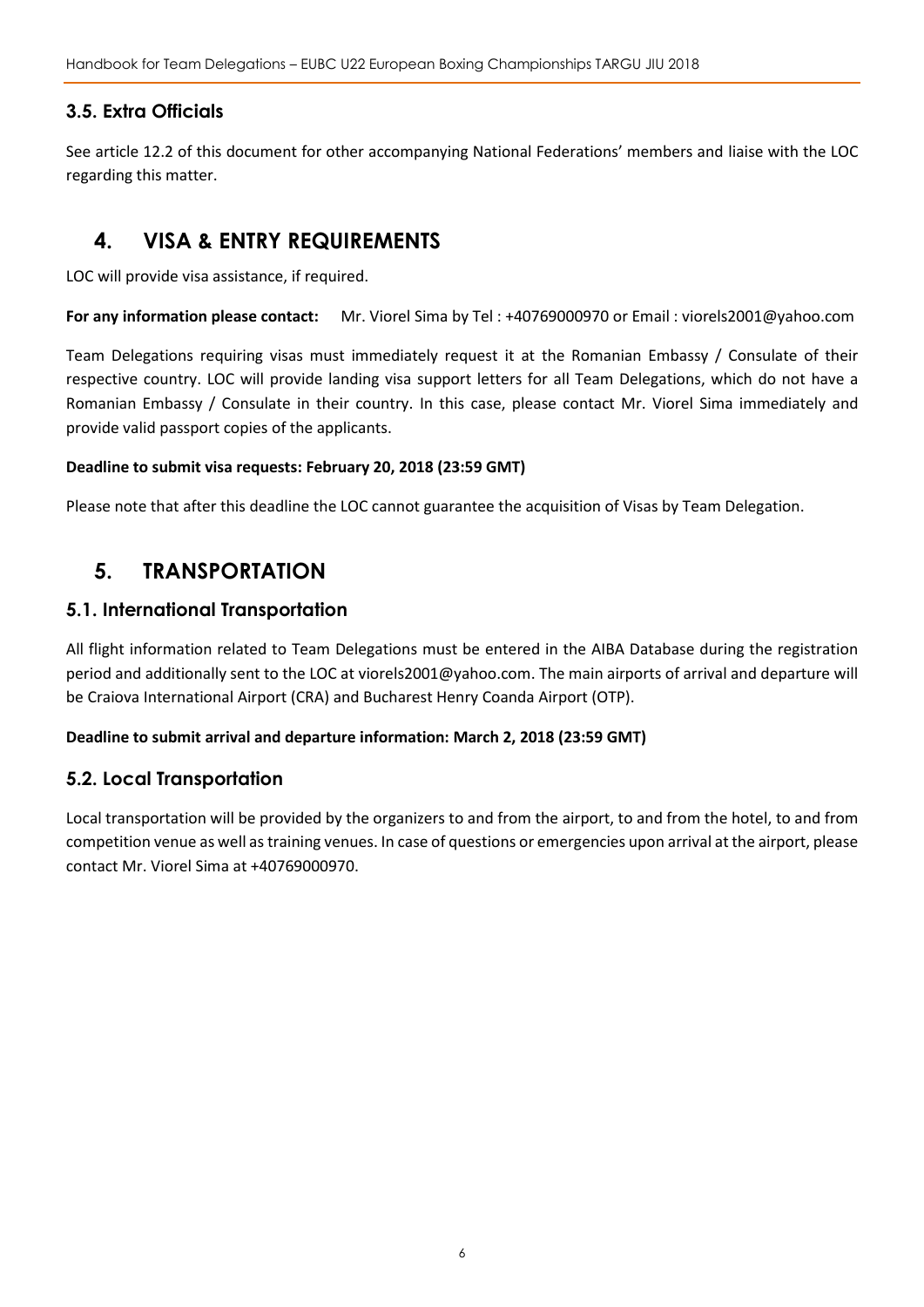### **3.5. Extra Officials**

See article 12.2 of this document for other accompanying National Federations' members and liaise with the LOC regarding this matter.

## <span id="page-5-0"></span>**4. VISA & ENTRY REQUIREMENTS**

LOC will provide visa assistance, if required.

**For any information please contact:** Mr. Viorel Sima by Tel : +40769000970 or Email : viorels2001@yahoo.com

Team Delegations requiring visas must immediately request it at the Romanian Embassy / Consulate of their respective country. LOC will provide landing visa support letters for all Team Delegations, which do not have a Romanian Embassy / Consulate in their country. In this case, please contact Mr. Viorel Sima immediately and provide valid passport copies of the applicants.

#### **Deadline to submit visa requests: February 20, 2018 (23:59 GMT)**

<span id="page-5-1"></span>Please note that after this deadline the LOC cannot guarantee the acquisition of Visas by Team Delegation.

## **5. TRANSPORTATION**

#### **5.1. International Transportation**

All flight information related to Team Delegations must be entered in the AIBA Database during the registration period and additionally sent to the LOC at viorels2001@yahoo.com. The main airports of arrival and departure will be Craiova International Airport (CRA) and Bucharest Henry Coanda Airport (OTP).

#### **Deadline to submit arrival and departure information: March 2, 2018 (23:59 GMT)**

#### **5.2. Local Transportation**

Local transportation will be provided by the organizers to and from the airport, to and from the hotel, to and from competition venue as well as training venues. In case of questions or emergencies upon arrival at the airport, please contact Mr. Viorel Sima at +40769000970.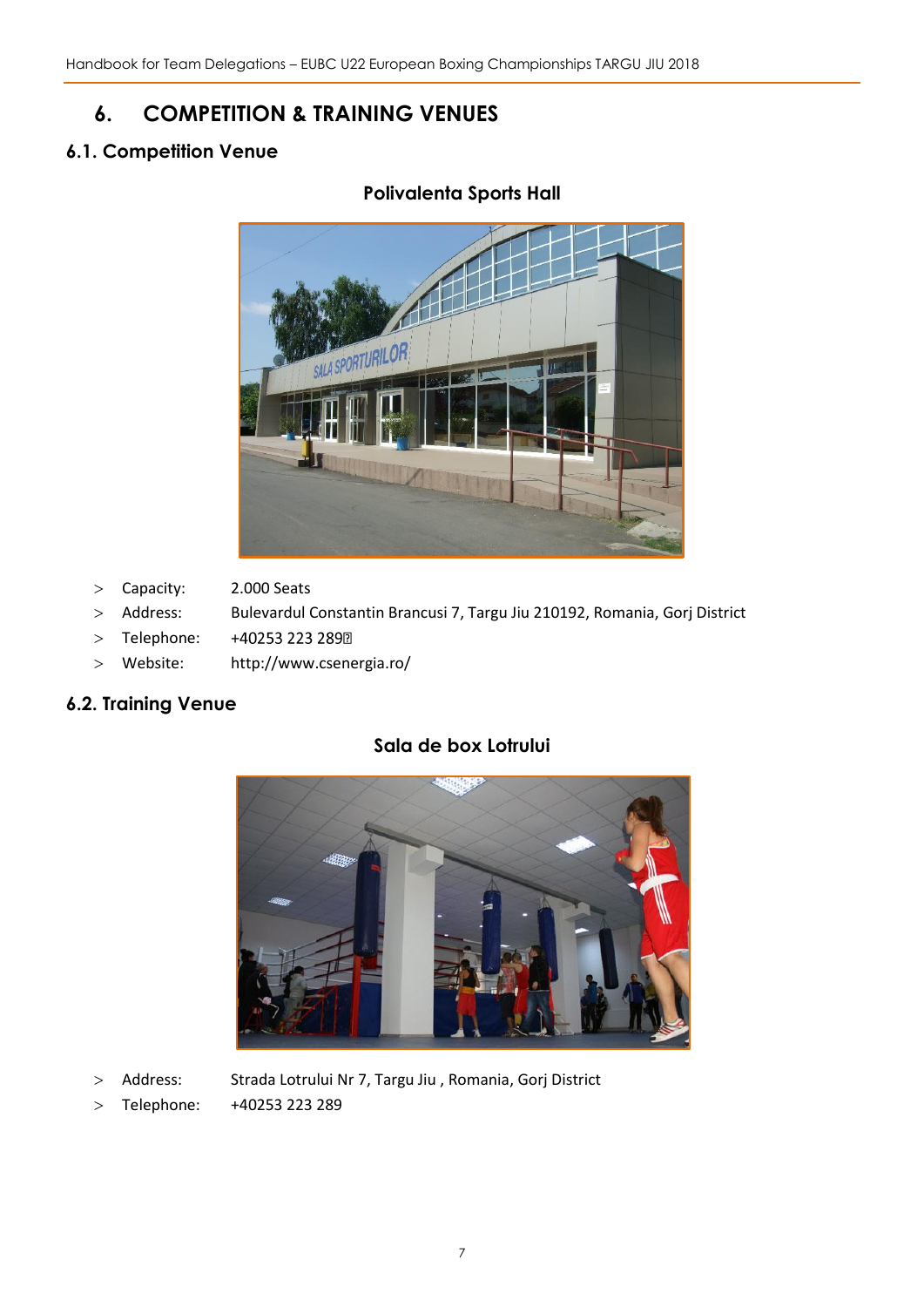## <span id="page-6-0"></span>**6. COMPETITION & TRAINING VENUES**

## **6.1. Competition Venue**

## **Polivalenta Sports Hall**



- Capacity: 2.000 Seats
- Address: Bulevardul Constantin Brancusi 7, Targu Jiu 210192, Romania, Gorj District
- > Telephone: +40253 223 2892
- Website: http://www.csenergia.ro/

#### **6.2. Training Venue**



## **Sala de box Lotrului**

- > Address: Strada Lotrului Nr 7, Targu Jiu , Romania, Gorj District
- Telephone: +40253 223 289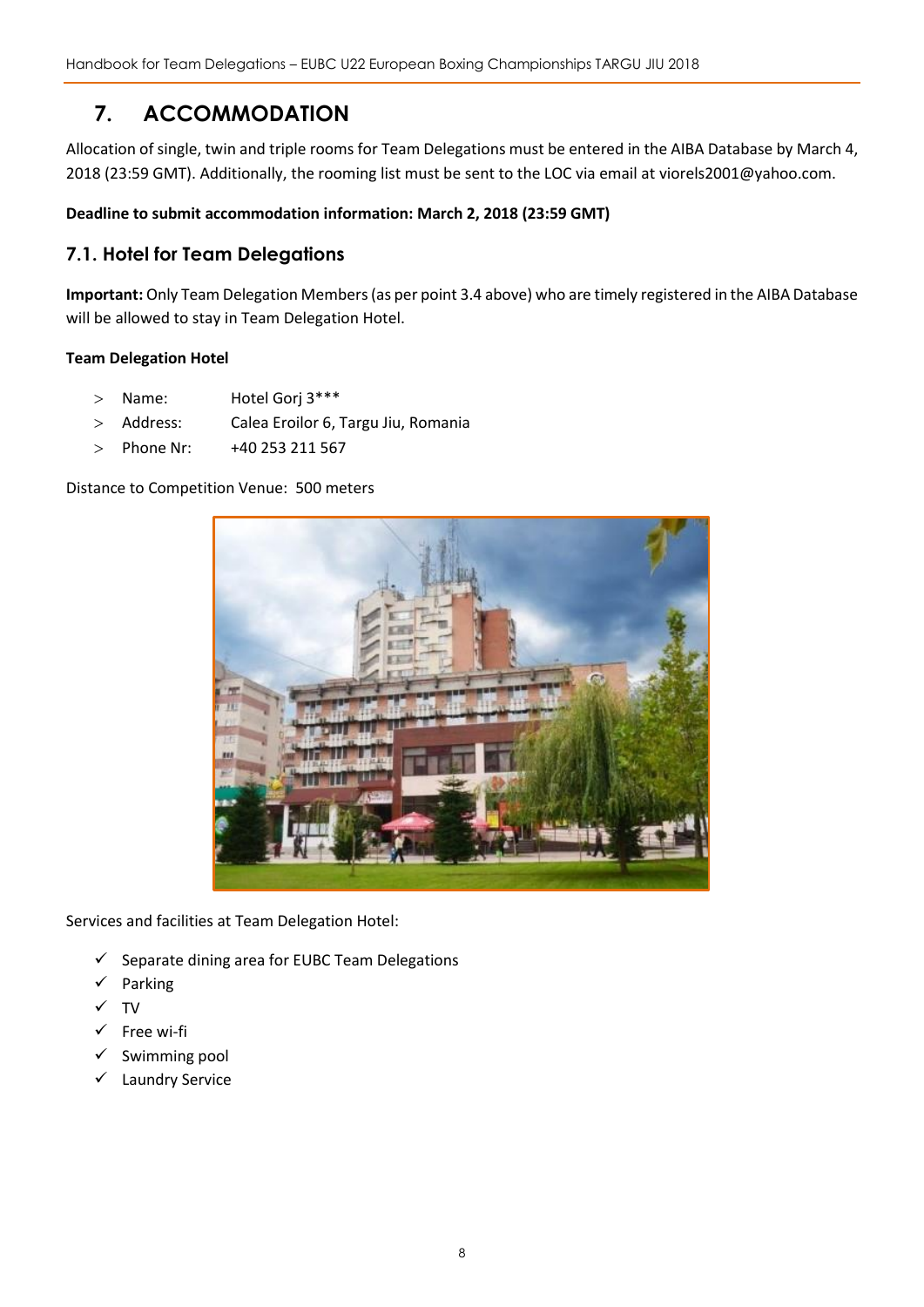## <span id="page-7-0"></span>**7. ACCOMMODATION**

Allocation of single, twin and triple rooms for Team Delegations must be entered in the AIBA Database by March 4, 2018 (23:59 GMT). Additionally, the rooming list must be sent to the LOC via email at viorels2001@yahoo.com.

#### **Deadline to submit accommodation information: March 2, 2018 (23:59 GMT)**

#### **7.1. Hotel for Team Delegations**

**Important:** Only Team Delegation Members(as per point 3.4 above) who are timely registered in the AIBA Database will be allowed to stay in Team Delegation Hotel.

#### **Team Delegation Hotel**

- > Name: Hotel Gorj 3\*\*\*
- Address: Calea Eroilor 6, Targu Jiu, Romania
- > Phone Nr: +40 253 211 567

#### Distance to Competition Venue: 500 meters



Services and facilities at Team Delegation Hotel:

- $\checkmark$  Separate dining area for EUBC Team Delegations
- Parking
- $\checkmark$  TV
- $\checkmark$  Free wi-fi
- $\checkmark$  Swimming pool
- Laundry Service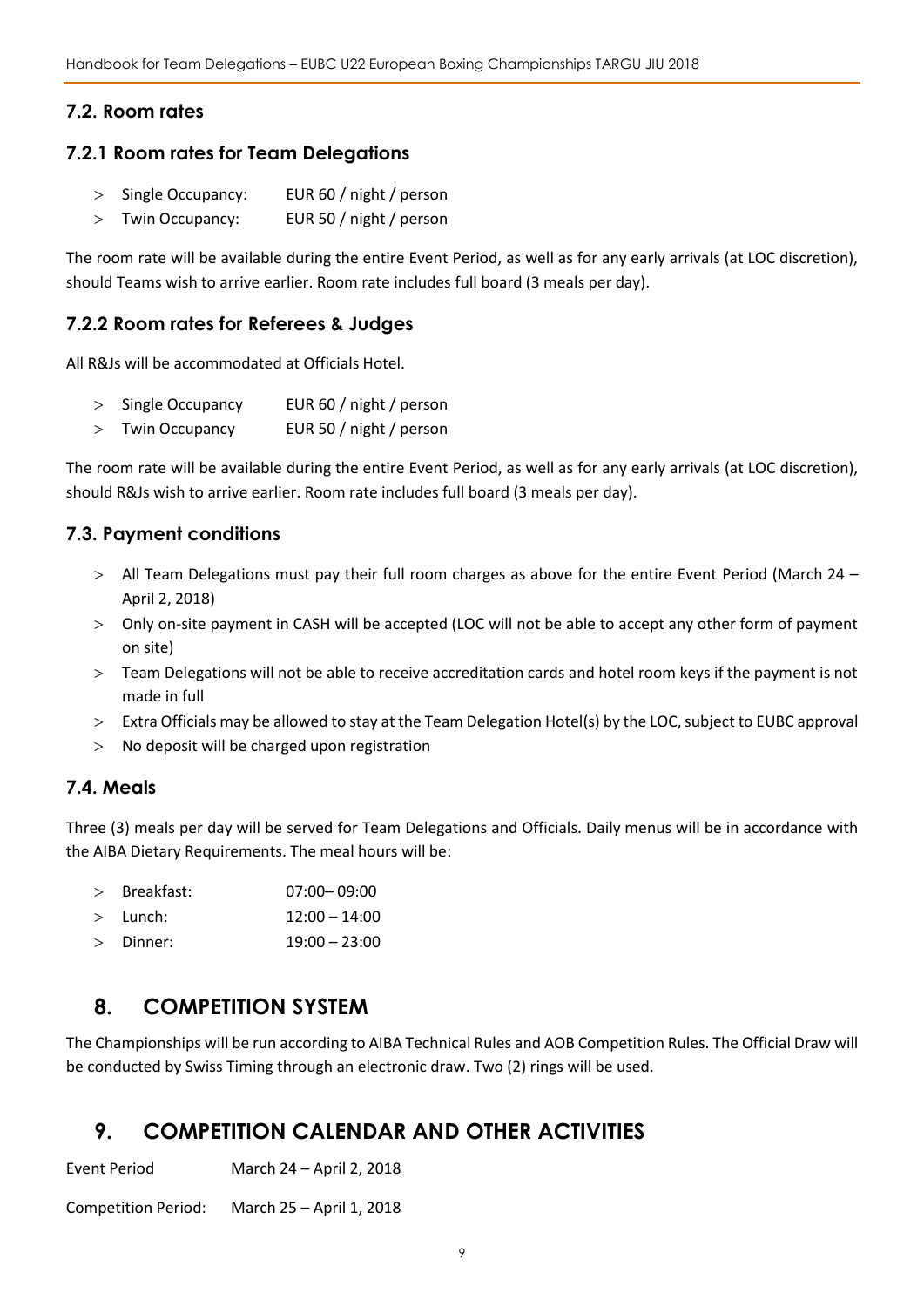### **7.2. Room rates**

#### **7.2.1 Room rates for Team Delegations**

- > Single Occupancy: EUR 60 / night / person
- Twin Occupancy: EUR 50 / night / person

The room rate will be available during the entire Event Period, as well as for any early arrivals (at LOC discretion), should Teams wish to arrive earlier. Room rate includes full board (3 meals per day).

#### **7.2.2 Room rates for Referees & Judges**

All R&Js will be accommodated at Officials Hotel.

- > Single Occupancy EUR 60 / night / person
- Twin Occupancy EUR 50 / night / person

The room rate will be available during the entire Event Period, as well as for any early arrivals (at LOC discretion), should R&Js wish to arrive earlier. Room rate includes full board (3 meals per day).

#### **7.3. Payment conditions**

- All Team Delegations must pay their full room charges as above for the entire Event Period (March 24 April 2, 2018)
- Only on-site payment in CASH will be accepted (LOC will not be able to accept any other form of payment on site)
- Team Delegations will not be able to receive accreditation cards and hotel room keys if the payment is not made in full
- Extra Officials may be allowed to stay at the Team Delegation Hotel(s) by the LOC, subject to EUBC approval
- > No deposit will be charged upon registration

#### **7.4. Meals**

Three (3) meals per day will be served for Team Delegations and Officials. Daily menus will be in accordance with the AIBA Dietary Requirements. The meal hours will be:

| Breakfast: | $07:00 - 09:00$ |  |
|------------|-----------------|--|
|            |                 |  |

- $>$  Lunch:  $12:00 14:00$
- Dinner: 19:00 23:00

## <span id="page-8-0"></span>**8. COMPETITION SYSTEM**

The Championships will be run according to AIBA Technical Rules and AOB Competition Rules. The Official Draw will be conducted by Swiss Timing through an electronic draw. Two (2) rings will be used.

## <span id="page-8-1"></span>**9. COMPETITION CALENDAR AND OTHER ACTIVITIES**

Event Period March 24 – April 2, 2018

Competition Period: March 25 – April 1, 2018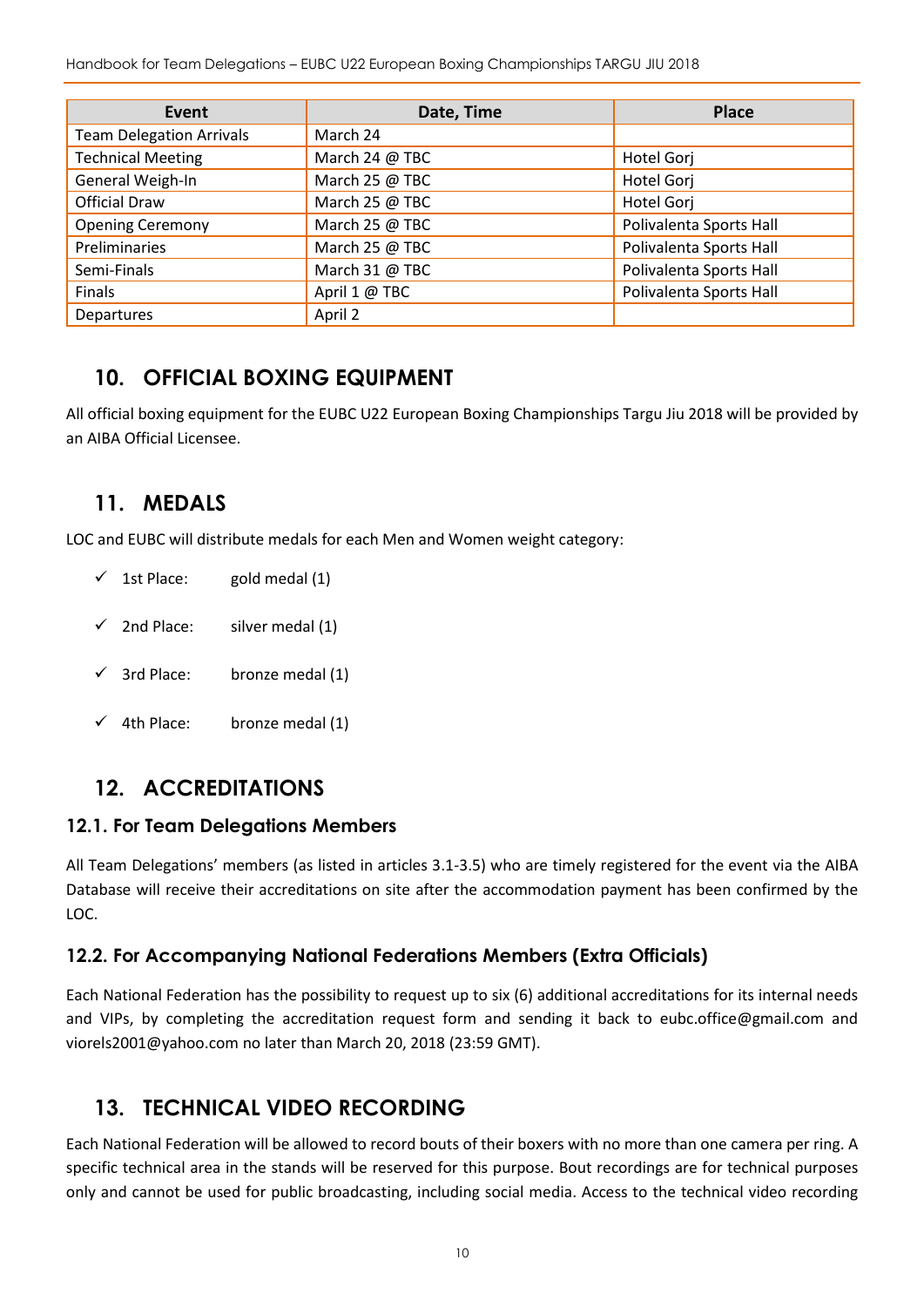Handbook for Team Delegations – EUBC U22 European Boxing Championships TARGU JIU 2018

| Event                           | Date, Time     | <b>Place</b>            |
|---------------------------------|----------------|-------------------------|
| <b>Team Delegation Arrivals</b> | March 24       |                         |
| <b>Technical Meeting</b>        | March 24 @ TBC | Hotel Gorj              |
| General Weigh-In                | March 25 @ TBC | Hotel Gorj              |
| <b>Official Draw</b>            | March 25 @ TBC | Hotel Gorj              |
| <b>Opening Ceremony</b>         | March 25 @ TBC | Polivalenta Sports Hall |
| Preliminaries                   | March 25 @ TBC | Polivalenta Sports Hall |
| Semi-Finals                     | March 31 @ TBC | Polivalenta Sports Hall |
| Finals                          | April 1 @ TBC  | Polivalenta Sports Hall |
| Departures                      | April 2        |                         |

## <span id="page-9-0"></span>**10. OFFICIAL BOXING EQUIPMENT**

All official boxing equipment for the EUBC U22 European Boxing Championships Targu Jiu 2018 will be provided by an AIBA Official Licensee.

## <span id="page-9-1"></span>**11. MEDALS**

LOC and EUBC will distribute medals for each Men and Women weight category:

- $\checkmark$  1st Place: gold medal (1)
- $\checkmark$  2nd Place: silver medal (1)
- $\checkmark$  3rd Place: bronze medal (1)
- $\checkmark$  4th Place: bronze medal (1)

## <span id="page-9-2"></span>**12. ACCREDITATIONS**

#### **12.1. For Team Delegations Members**

All Team Delegations' members (as listed in articles 3.1-3.5) who are timely registered for the event via the AIBA Database will receive their accreditations on site after the accommodation payment has been confirmed by the LOC.

#### **12.2. For Accompanying National Federations Members (Extra Officials)**

Each National Federation has the possibility to request up to six (6) additional accreditations for its internal needs and VIPs, by completing the accreditation request form and sending it back to eubc.office@gmail.com and viorels2001@yahoo.com no later than March 20, 2018 (23:59 GMT).

## <span id="page-9-3"></span>**13. TECHNICAL VIDEO RECORDING**

Each National Federation will be allowed to record bouts of their boxers with no more than one camera per ring. A specific technical area in the stands will be reserved for this purpose. Bout recordings are for technical purposes only and cannot be used for public broadcasting, including social media. Access to the technical video recording